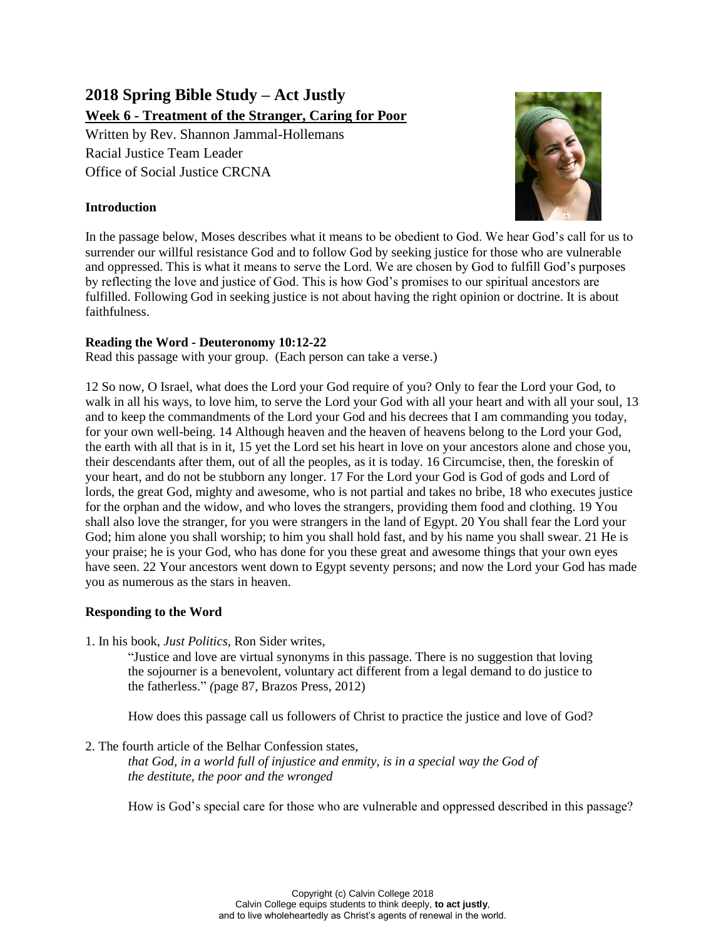# **2018 Spring Bible Study – Act Justly Week 6 - Treatment of the Stranger, Caring for Poor**

Written by Rev. Shannon Jammal-Hollemans Racial Justice Team Leader Office of Social Justice CRCNA

## **Introduction**



In the passage below, Moses describes what it means to be obedient to God. We hear God's call for us to surrender our willful resistance God and to follow God by seeking justice for those who are vulnerable and oppressed. This is what it means to serve the Lord. We are chosen by God to fulfill God's purposes by reflecting the love and justice of God. This is how God's promises to our spiritual ancestors are fulfilled. Following God in seeking justice is not about having the right opinion or doctrine. It is about faithfulness.

## **Reading the Word - Deuteronomy 10:12-22**

Read this passage with your group. (Each person can take a verse.)

12 So now, O Israel, what does the Lord your God require of you? Only to fear the Lord your God, to walk in all his ways, to love him, to serve the Lord your God with all your heart and with all your soul, 13 and to keep the commandments of the Lord your God and his decrees that I am commanding you today, for your own well-being. 14 Although heaven and the heaven of heavens belong to the Lord your God, the earth with all that is in it, 15 yet the Lord set his heart in love on your ancestors alone and chose you, their descendants after them, out of all the peoples, as it is today. 16 Circumcise, then, the foreskin of your heart, and do not be stubborn any longer. 17 For the Lord your God is God of gods and Lord of lords, the great God, mighty and awesome, who is not partial and takes no bribe, 18 who executes justice for the orphan and the widow, and who loves the strangers, providing them food and clothing. 19 You shall also love the stranger, for you were strangers in the land of Egypt. 20 You shall fear the Lord your God; him alone you shall worship; to him you shall hold fast, and by his name you shall swear. 21 He is your praise; he is your God, who has done for you these great and awesome things that your own eyes have seen. 22 Your ancestors went down to Egypt seventy persons; and now the Lord your God has made you as numerous as the stars in heaven.

## **Responding to the Word**

1. In his book, *Just Politics*, Ron Sider writes,

"Justice and love are virtual synonyms in this passage. There is no suggestion that loving the sojourner is a benevolent, voluntary act different from a legal demand to do justice to the fatherless." *(*page 87, Brazos Press, 2012)

How does this passage call us followers of Christ to practice the justice and love of God?

2. The fourth article of the Belhar Confession states,

*that God, in a world full of injustice and enmity, is in a special way the God of the destitute, the poor and the wronged*

How is God's special care for those who are vulnerable and oppressed described in this passage?